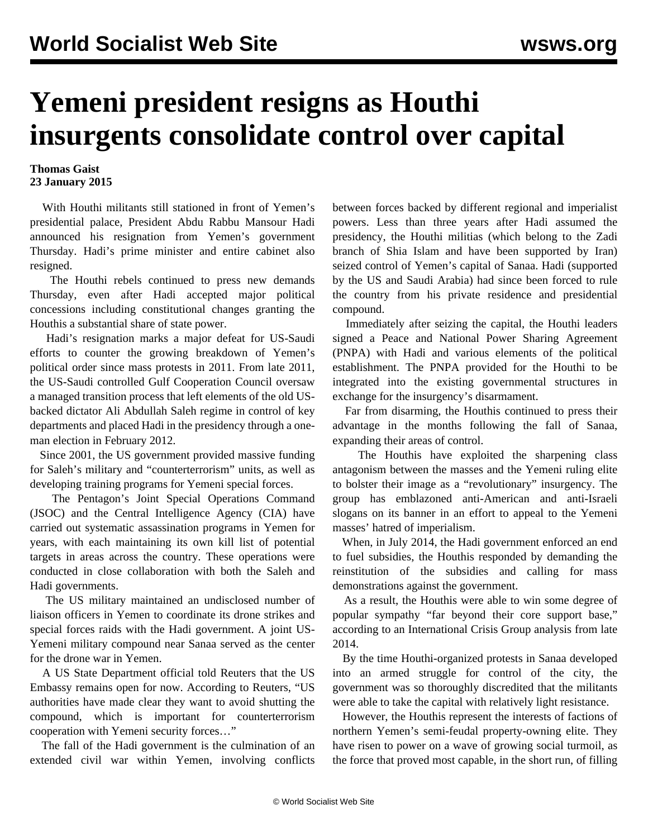## **Yemeni president resigns as Houthi insurgents consolidate control over capital**

## **Thomas Gaist 23 January 2015**

 With Houthi militants still stationed in front of Yemen's presidential palace, President Abdu Rabbu Mansour Hadi announced his resignation from Yemen's government Thursday. Hadi's prime minister and entire cabinet also resigned.

 The Houthi rebels continued to press new demands Thursday, even after Hadi accepted major political concessions including constitutional changes granting the Houthis a substantial share of state power.

 Hadi's resignation marks a major defeat for US-Saudi efforts to counter the growing breakdown of Yemen's political order since mass protests in 2011. From late 2011, the US-Saudi controlled Gulf Cooperation Council oversaw a managed transition process that left elements of the old USbacked dictator Ali Abdullah Saleh regime in control of key departments and placed Hadi in the presidency through a oneman election in February 2012.

 Since 2001, the US government provided massive funding for Saleh's military and "counterterrorism" units, as well as developing training programs for Yemeni special forces.

 The Pentagon's Joint Special Operations Command (JSOC) and the Central Intelligence Agency (CIA) have carried out systematic assassination programs in Yemen for years, with each maintaining its own kill list of potential targets in areas across the country. These operations were conducted in close collaboration with both the Saleh and Hadi governments.

 The US military maintained an undisclosed number of liaison officers in Yemen to coordinate its drone strikes and special forces raids with the Hadi government. A joint US-Yemeni military compound near Sanaa served as the center for the drone war in Yemen.

 A US State Department official told Reuters that the US Embassy remains open for now. According to Reuters, "US authorities have made clear they want to avoid shutting the compound, which is important for counterterrorism cooperation with Yemeni security forces…"

 The fall of the Hadi government is the culmination of an extended civil war within Yemen, involving conflicts

between forces backed by different regional and imperialist powers. Less than three years after Hadi assumed the presidency, the Houthi militias (which belong to the Zadi branch of Shia Islam and have been supported by Iran) seized control of Yemen's capital of Sanaa. Hadi (supported by the US and Saudi Arabia) had since been forced to rule the country from his private residence and presidential compound.

 Immediately after seizing the capital, the Houthi leaders signed a Peace and National Power Sharing Agreement (PNPA) with Hadi and various elements of the political establishment. The PNPA provided for the Houthi to be integrated into the existing governmental structures in exchange for the insurgency's disarmament.

 Far from disarming, the Houthis continued to press their advantage in the months following the fall of Sanaa, expanding their areas of control.

 The Houthis have exploited the sharpening class antagonism between the masses and the Yemeni ruling elite to bolster their image as a "revolutionary" insurgency. The group has emblazoned anti-American and anti-Israeli slogans on its banner in an effort to appeal to the Yemeni masses' hatred of imperialism.

 When, in July 2014, the Hadi government enforced an end to fuel subsidies, the Houthis responded by demanding the reinstitution of the subsidies and calling for mass demonstrations against the government.

 As a result, the Houthis were able to win some degree of popular sympathy "far beyond their core support base," according to an International Crisis Group analysis from late 2014.

 By the time Houthi-organized protests in Sanaa developed into an armed struggle for control of the city, the government was so thoroughly discredited that the militants were able to take the capital with relatively light resistance.

 However, the Houthis represent the interests of factions of northern Yemen's semi-feudal property-owning elite. They have risen to power on a wave of growing social turmoil, as the force that proved most capable, in the short run, of filling